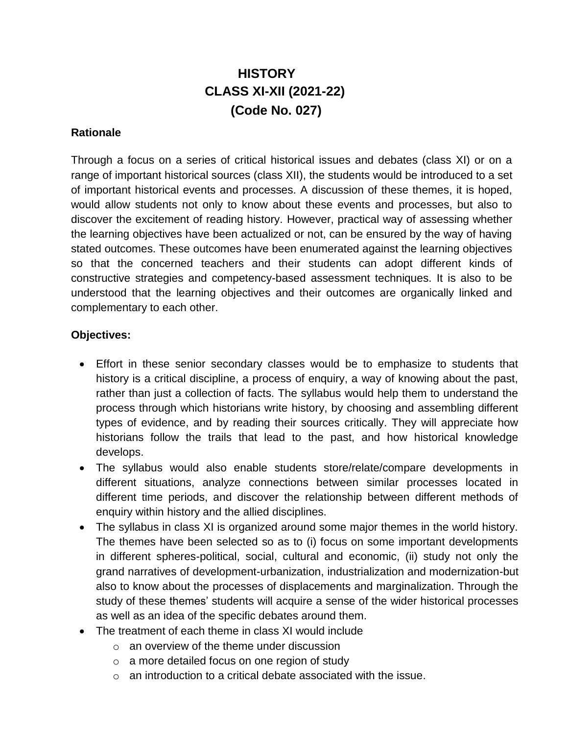# **HISTORY CLASS XI-XII (2021-22) (Code No. 027)**

#### **Rationale**

Through a focus on a series of critical historical issues and debates (class XI) or on a range of important historical sources (class XII), the students would be introduced to a set of important historical events and processes. A discussion of these themes, it is hoped, would allow students not only to know about these events and processes, but also to discover the excitement of reading history. However, practical way of assessing whether the learning objectives have been actualized or not, can be ensured by the way of having stated outcomes. These outcomes have been enumerated against the learning objectives so that the concerned teachers and their students can adopt different kinds of constructive strategies and competency-based assessment techniques. It is also to be understood that the learning objectives and their outcomes are organically linked and complementary to each other.

#### **Objectives:**

- Effort in these senior secondary classes would be to emphasize to students that history is a critical discipline, a process of enquiry, a way of knowing about the past, rather than just a collection of facts. The syllabus would help them to understand the process through which historians write history, by choosing and assembling different types of evidence, and by reading their sources critically. They will appreciate how historians follow the trails that lead to the past, and how historical knowledge develops.
- The syllabus would also enable students store/relate/compare developments in different situations, analyze connections between similar processes located in different time periods, and discover the relationship between different methods of enquiry within history and the allied disciplines.
- The syllabus in class XI is organized around some major themes in the world history. The themes have been selected so as to (i) focus on some important developments in different spheres-political, social, cultural and economic, (ii) study not only the grand narratives of development-urbanization, industrialization and modernization-but also to know about the processes of displacements and marginalization. Through the study of these themes' students will acquire a sense of the wider historical processes as well as an idea of the specific debates around them.
- The treatment of each theme in class XI would include
	- $\circ$  an overview of the theme under discussion
	- o a more detailed focus on one region of study
	- $\circ$  an introduction to a critical debate associated with the issue.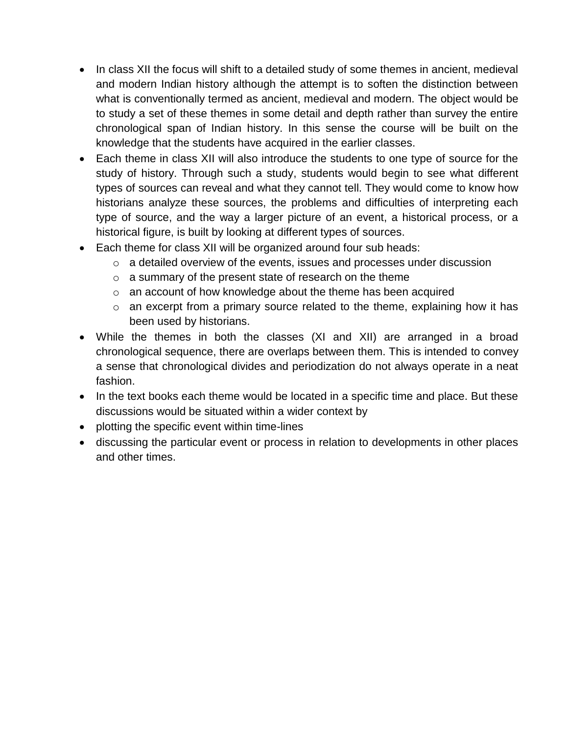- In class XII the focus will shift to a detailed study of some themes in ancient, medieval and modern Indian history although the attempt is to soften the distinction between what is conventionally termed as ancient, medieval and modern. The object would be to study a set of these themes in some detail and depth rather than survey the entire chronological span of Indian history. In this sense the course will be built on the knowledge that the students have acquired in the earlier classes.
- Each theme in class XII will also introduce the students to one type of source for the study of history. Through such a study, students would begin to see what different types of sources can reveal and what they cannot tell. They would come to know how historians analyze these sources, the problems and difficulties of interpreting each type of source, and the way a larger picture of an event, a historical process, or a historical figure, is built by looking at different types of sources.
- Each theme for class XII will be organized around four sub heads:
	- o a detailed overview of the events, issues and processes under discussion
	- o a summary of the present state of research on the theme
	- o an account of how knowledge about the theme has been acquired
	- o an excerpt from a primary source related to the theme, explaining how it has been used by historians.
- While the themes in both the classes (XI and XII) are arranged in a broad chronological sequence, there are overlaps between them. This is intended to convey a sense that chronological divides and periodization do not always operate in a neat fashion.
- In the text books each theme would be located in a specific time and place. But these discussions would be situated within a wider context by
- plotting the specific event within time-lines
- discussing the particular event or process in relation to developments in other places and other times.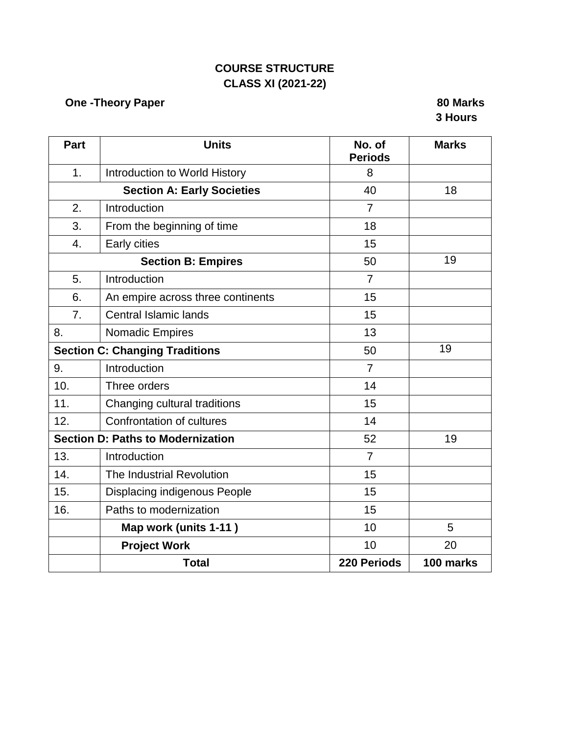# **COURSE STRUCTURE CLASS XI (2021-22)**

# **One -Theory Paper 80 Marks**

# **3 Hours**

| <b>Part</b>      | <b>Units</b>                             | No. of<br><b>Periods</b> | <b>Marks</b> |
|------------------|------------------------------------------|--------------------------|--------------|
| 1.               | Introduction to World History            | 8                        |              |
|                  | <b>Section A: Early Societies</b>        | 40                       | 18           |
| 2.               | Introduction                             | $\overline{7}$           |              |
| 3.               | From the beginning of time               | 18                       |              |
| $\overline{4}$ . | Early cities                             | 15                       |              |
|                  | <b>Section B: Empires</b>                | 50                       | 19           |
| 5.               | Introduction                             | $\overline{7}$           |              |
| 6.               | An empire across three continents        | 15                       |              |
| 7.               | <b>Central Islamic lands</b>             | 15                       |              |
| 8.               | <b>Nomadic Empires</b>                   | 13                       |              |
|                  | <b>Section C: Changing Traditions</b>    | 50                       | 19           |
| 9.               | Introduction                             | $\overline{7}$           |              |
| 10.              | Three orders                             | 14                       |              |
| 11.              | Changing cultural traditions             | 15                       |              |
| 12.              | Confrontation of cultures                | 14                       |              |
|                  | <b>Section D: Paths to Modernization</b> | 52                       | 19           |
| 13.              | Introduction                             | $\overline{7}$           |              |
| 14.              | The Industrial Revolution                | 15                       |              |
| 15.              | <b>Displacing indigenous People</b>      | 15                       |              |
| 16.              | Paths to modernization                   | 15                       |              |
|                  | Map work (units 1-11)                    | 10                       | 5            |
|                  | <b>Project Work</b>                      | 10                       | 20           |
|                  | <b>Total</b>                             | 220 Periods              | 100 marks    |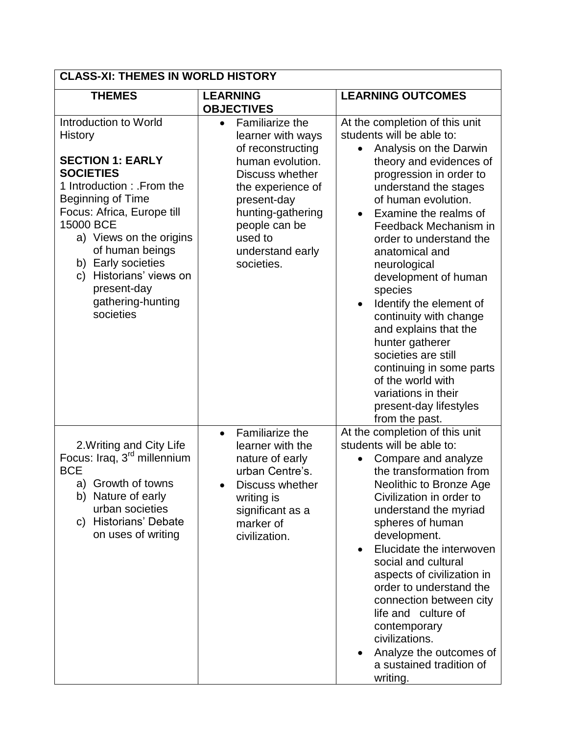| <b>CLASS-XI: THEMES IN WORLD HISTORY</b>                                                                                                                                                                                                                                                                                                     |                                                                                                                                                                                                                                      |                                                                                                                                                                                                                                                                                                                                                                                                                                                                                                                                                                                                        |  |
|----------------------------------------------------------------------------------------------------------------------------------------------------------------------------------------------------------------------------------------------------------------------------------------------------------------------------------------------|--------------------------------------------------------------------------------------------------------------------------------------------------------------------------------------------------------------------------------------|--------------------------------------------------------------------------------------------------------------------------------------------------------------------------------------------------------------------------------------------------------------------------------------------------------------------------------------------------------------------------------------------------------------------------------------------------------------------------------------------------------------------------------------------------------------------------------------------------------|--|
| <b>THEMES</b>                                                                                                                                                                                                                                                                                                                                | <b>LEARNING</b><br><b>OBJECTIVES</b>                                                                                                                                                                                                 | <b>LEARNING OUTCOMES</b>                                                                                                                                                                                                                                                                                                                                                                                                                                                                                                                                                                               |  |
| Introduction to World<br><b>History</b><br><b>SECTION 1: EARLY</b><br><b>SOCIETIES</b><br>1 Introduction: From the<br><b>Beginning of Time</b><br>Focus: Africa, Europe till<br>15000 BCE<br>a) Views on the origins<br>of human beings<br>b) Early societies<br>Historians' views on<br>C)<br>present-day<br>gathering-hunting<br>societies | Familiarize the<br>$\bullet$<br>learner with ways<br>of reconstructing<br>human evolution.<br>Discuss whether<br>the experience of<br>present-day<br>hunting-gathering<br>people can be<br>used to<br>understand early<br>societies. | At the completion of this unit<br>students will be able to:<br>Analysis on the Darwin<br>theory and evidences of<br>progression in order to<br>understand the stages<br>of human evolution.<br>Examine the realms of<br>Feedback Mechanism in<br>order to understand the<br>anatomical and<br>neurological<br>development of human<br>species<br>Identify the element of<br>$\bullet$<br>continuity with change<br>and explains that the<br>hunter gatherer<br>societies are still<br>continuing in some parts<br>of the world with<br>variations in their<br>present-day lifestyles<br>from the past. |  |
| 2. Writing and City Life<br>Focus: Iraq, 3 <sup>rd</sup> millennium<br><b>BCE</b><br>a) Growth of towns<br>b) Nature of early<br>urban societies<br>c) Historians' Debate<br>on uses of writing                                                                                                                                              | Familiarize the<br>$\bullet$<br>learner with the<br>nature of early<br>urban Centre's.<br>Discuss whether<br>writing is<br>significant as a<br>marker of<br>civilization.                                                            | At the completion of this unit<br>students will be able to:<br>Compare and analyze<br>the transformation from<br>Neolithic to Bronze Age<br>Civilization in order to<br>understand the myriad<br>spheres of human<br>development.<br>Elucidate the interwoven<br>$\bullet$<br>social and cultural<br>aspects of civilization in<br>order to understand the<br>connection between city<br>life and culture of<br>contemporary<br>civilizations.<br>Analyze the outcomes of<br>a sustained tradition of<br>writing.                                                                                      |  |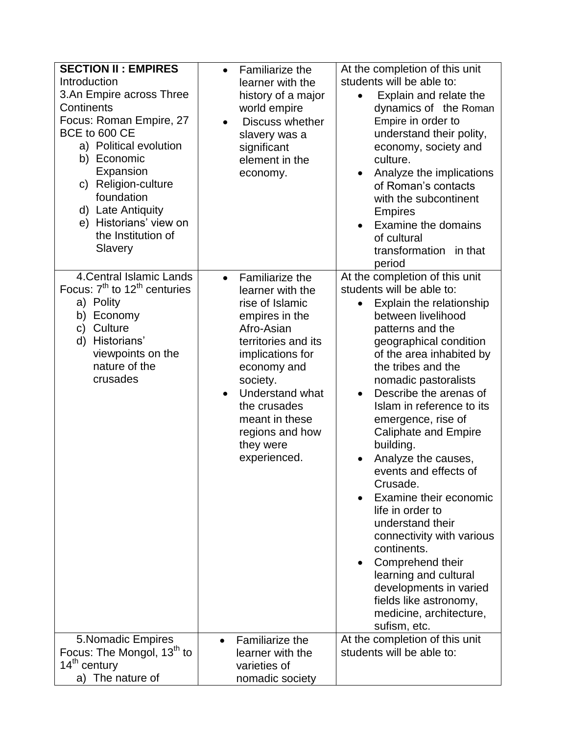| <b>SECTION II: EMPIRES</b>                                                                                                                                                                                                                                                    | Familiarize the                                                                                                                                                                                                                                                                                    | At the completion of this unit                                                                                                                                                                                                                                                                                                                                                                                                                                                                                                                                                                                                                                                                         |
|-------------------------------------------------------------------------------------------------------------------------------------------------------------------------------------------------------------------------------------------------------------------------------|----------------------------------------------------------------------------------------------------------------------------------------------------------------------------------------------------------------------------------------------------------------------------------------------------|--------------------------------------------------------------------------------------------------------------------------------------------------------------------------------------------------------------------------------------------------------------------------------------------------------------------------------------------------------------------------------------------------------------------------------------------------------------------------------------------------------------------------------------------------------------------------------------------------------------------------------------------------------------------------------------------------------|
| Introduction<br>3.An Empire across Three<br>Continents<br>Focus: Roman Empire, 27<br>BCE to 600 CE<br>a) Political evolution<br>b) Economic<br>Expansion<br>c) Religion-culture<br>foundation<br>d) Late Antiquity<br>e) Historians' view on<br>the Institution of<br>Slavery | learner with the<br>history of a major<br>world empire<br>Discuss whether<br>$\bullet$<br>slavery was a<br>significant<br>element in the<br>economy.                                                                                                                                               | students will be able to:<br>Explain and relate the<br>dynamics of the Roman<br>Empire in order to<br>understand their polity,<br>economy, society and<br>culture.<br>Analyze the implications<br>of Roman's contacts<br>with the subcontinent<br><b>Empires</b><br>Examine the domains<br>of cultural<br>transformation in that<br>period                                                                                                                                                                                                                                                                                                                                                             |
| 4. Central Islamic Lands<br>Focus: $7th$ to 12 <sup>th</sup> centuries<br>a) Polity<br>b) Economy<br>c) Culture<br>Historians'<br>d)<br>viewpoints on the<br>nature of the<br>crusades                                                                                        | <b>Familiarize the</b><br>$\bullet$<br>learner with the<br>rise of Islamic<br>empires in the<br>Afro-Asian<br>territories and its<br>implications for<br>economy and<br>society.<br>Understand what<br>$\bullet$<br>the crusades<br>meant in these<br>regions and how<br>they were<br>experienced. | At the completion of this unit<br>students will be able to:<br>Explain the relationship<br>٠<br>between livelihood<br>patterns and the<br>geographical condition<br>of the area inhabited by<br>the tribes and the<br>nomadic pastoralists<br>Describe the arenas of<br>$\bullet$<br>Islam in reference to its<br>emergence, rise of<br><b>Caliphate and Empire</b><br>building.<br>Analyze the causes,<br>events and effects of<br>Crusade.<br>Examine their economic<br>life in order to<br>understand their<br>connectivity with various<br>continents.<br>Comprehend their<br>learning and cultural<br>developments in varied<br>fields like astronomy,<br>medicine, architecture,<br>sufism, etc. |
| 5. Nomadic Empires<br>Focus: The Mongol, 13 <sup>th</sup> to<br>14 <sup>th</sup> century<br>a) The nature of                                                                                                                                                                  | Familiarize the<br>$\bullet$<br>learner with the<br>varieties of<br>nomadic society                                                                                                                                                                                                                | At the completion of this unit<br>students will be able to:                                                                                                                                                                                                                                                                                                                                                                                                                                                                                                                                                                                                                                            |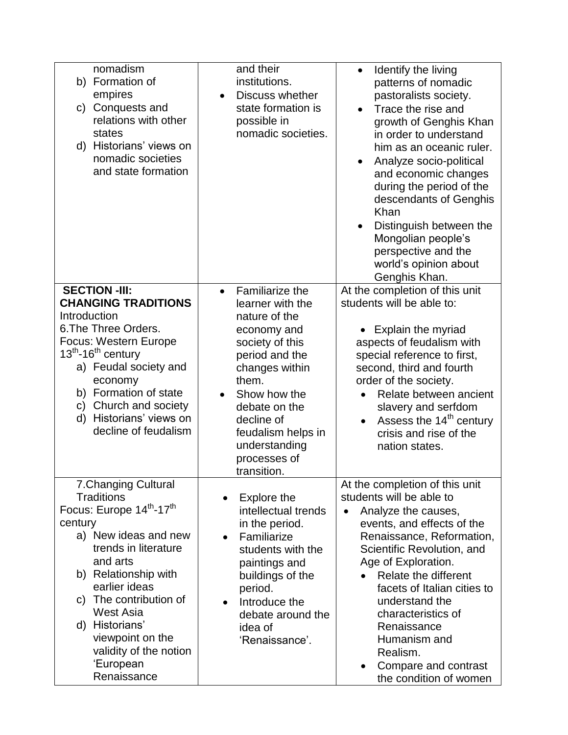| nomadism<br>b) Formation of<br>empires<br>Conquests and<br>C)<br>relations with other<br>states<br>d) Historians' views on<br>nomadic societies<br>and state formation                                                                                                                                                     | and their<br>institutions.<br>Discuss whether<br>state formation is<br>possible in<br>nomadic societies.                                                                                                                                                                     | Identify the living<br>patterns of nomadic<br>pastoralists society.<br>Trace the rise and<br>growth of Genghis Khan<br>in order to understand<br>him as an oceanic ruler.<br>Analyze socio-political<br>and economic changes<br>during the period of the<br>descendants of Genghis<br>Khan<br>Distinguish between the<br>Mongolian people's<br>perspective and the<br>world's opinion about<br>Genghis Khan.            |
|----------------------------------------------------------------------------------------------------------------------------------------------------------------------------------------------------------------------------------------------------------------------------------------------------------------------------|------------------------------------------------------------------------------------------------------------------------------------------------------------------------------------------------------------------------------------------------------------------------------|-------------------------------------------------------------------------------------------------------------------------------------------------------------------------------------------------------------------------------------------------------------------------------------------------------------------------------------------------------------------------------------------------------------------------|
| <b>SECTION -III:</b><br><b>CHANGING TRADITIONS</b><br>Introduction<br>6. The Three Orders.<br><b>Focus: Western Europe</b><br>$13^{th}$ -16 <sup>th</sup> century<br>a) Feudal society and<br>economy<br>b) Formation of state<br>c) Church and society<br>Historians' views on<br>d)<br>decline of feudalism              | <b>Familiarize the</b><br>$\bullet$<br>learner with the<br>nature of the<br>economy and<br>society of this<br>period and the<br>changes within<br>them.<br>Show how the<br>debate on the<br>decline of<br>feudalism helps in<br>understanding<br>processes of<br>transition. | At the completion of this unit<br>students will be able to:<br>Explain the myriad<br>aspects of feudalism with<br>special reference to first,<br>second, third and fourth<br>order of the society.<br>Relate between ancient<br>slavery and serfdom<br>Assess the 14 <sup>th</sup> century<br>$\bullet$<br>crisis and rise of the<br>nation states.                                                                     |
| 7. Changing Cultural<br><b>Traditions</b><br>Focus: Europe 14th-17th<br>century<br>a) New ideas and new<br>trends in literature<br>and arts<br>b) Relationship with<br>earlier ideas<br>The contribution of<br>C)<br>West Asia<br>d) Historians'<br>viewpoint on the<br>validity of the notion<br>'European<br>Renaissance | Explore the<br>intellectual trends<br>in the period.<br>Familiarize<br>$\bullet$<br>students with the<br>paintings and<br>buildings of the<br>period.<br>Introduce the<br>debate around the<br>idea of<br>'Renaissance'.                                                     | At the completion of this unit<br>students will be able to<br>Analyze the causes,<br>events, and effects of the<br>Renaissance, Reformation,<br>Scientific Revolution, and<br>Age of Exploration.<br>Relate the different<br>$\bullet$<br>facets of Italian cities to<br>understand the<br>characteristics of<br>Renaissance<br>Humanism and<br>Realism.<br>Compare and contrast<br>$\bullet$<br>the condition of women |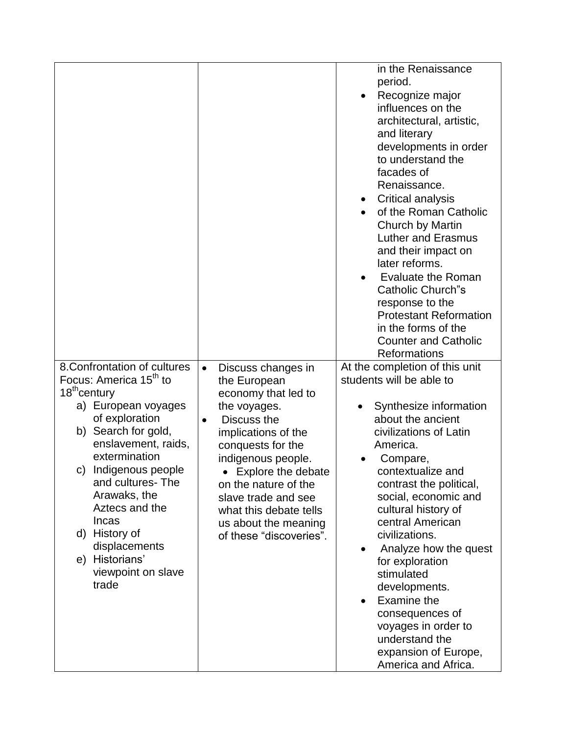|                                                                                                                                                                                                                                                                                                                                                                                               |                                                                                                                                                                                                                                                                                                                                          | in the Renaissance<br>period.<br>Recognize major<br>influences on the<br>architectural, artistic,<br>and literary<br>developments in order<br>to understand the<br>facades of<br>Renaissance.<br>Critical analysis<br>$\bullet$<br>of the Roman Catholic<br>Church by Martin<br><b>Luther and Erasmus</b><br>and their impact on<br>later reforms.<br><b>Evaluate the Roman</b><br><b>Catholic Church"s</b><br>response to the<br><b>Protestant Reformation</b><br>in the forms of the<br><b>Counter and Catholic</b><br><b>Reformations</b> |
|-----------------------------------------------------------------------------------------------------------------------------------------------------------------------------------------------------------------------------------------------------------------------------------------------------------------------------------------------------------------------------------------------|------------------------------------------------------------------------------------------------------------------------------------------------------------------------------------------------------------------------------------------------------------------------------------------------------------------------------------------|----------------------------------------------------------------------------------------------------------------------------------------------------------------------------------------------------------------------------------------------------------------------------------------------------------------------------------------------------------------------------------------------------------------------------------------------------------------------------------------------------------------------------------------------|
| 8. Confrontation of cultures<br>Focus: America 15 <sup>th</sup> to<br>18 <sup>th</sup> century<br>a) European voyages<br>of exploration<br>Search for gold,<br>b)<br>enslavement, raids,<br>extermination<br>Indigenous people<br>C)<br>and cultures-The<br>Arawaks, the<br>Aztecs and the<br><b>Incas</b><br>d) History of<br>displacements<br>e) Historians'<br>viewpoint on slave<br>trade | Discuss changes in<br>$\bullet$<br>the European<br>economy that led to<br>the voyages.<br>Discuss the<br>$\bullet$<br>implications of the<br>conquests for the<br>indigenous people.<br>• Explore the debate<br>on the nature of the<br>slave trade and see<br>what this debate tells<br>us about the meaning<br>of these "discoveries". | At the completion of this unit<br>students will be able to<br>Synthesize information<br>about the ancient<br>civilizations of Latin<br>America.<br>Compare,<br>contextualize and<br>contrast the political,<br>social, economic and<br>cultural history of<br>central American<br>civilizations.<br>Analyze how the quest<br>$\bullet$<br>for exploration<br>stimulated<br>developments.<br>Examine the<br>consequences of<br>voyages in order to<br>understand the<br>expansion of Europe,<br>America and Africa.                           |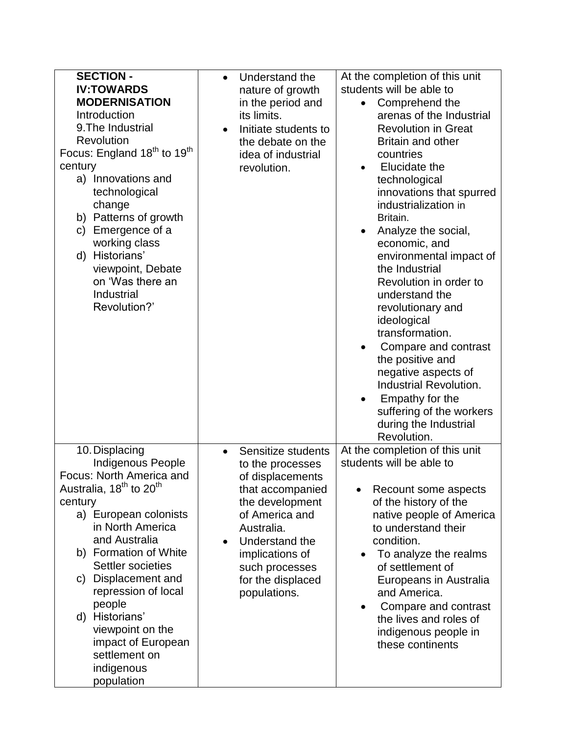| <b>SECTION -</b><br><b>IV:TOWARDS</b><br><b>MODERNISATION</b><br>Introduction<br>9. The Industrial<br>Revolution<br>Focus: England 18 <sup>th</sup> to 19 <sup>th</sup><br>century<br>a) Innovations and<br>technological<br>change<br>b) Patterns of growth<br>Emergence of a<br>C)<br>working class<br>d) Historians'<br>viewpoint, Debate<br>on 'Was there an<br>Industrial<br>Revolution?'             | Understand the<br>$\bullet$<br>nature of growth<br>in the period and<br>its limits.<br>Initiate students to<br>the debate on the<br>idea of industrial<br>revolution.                                                                      | At the completion of this unit<br>students will be able to<br>Comprehend the<br>arenas of the Industrial<br><b>Revolution in Great</b><br><b>Britain and other</b><br>countries<br>Elucidate the<br>$\bullet$<br>technological<br>innovations that spurred<br>industrialization in<br>Britain.<br>Analyze the social,<br>economic, and<br>environmental impact of<br>the Industrial<br>Revolution in order to<br>understand the<br>revolutionary and<br>ideological<br>transformation. |
|------------------------------------------------------------------------------------------------------------------------------------------------------------------------------------------------------------------------------------------------------------------------------------------------------------------------------------------------------------------------------------------------------------|--------------------------------------------------------------------------------------------------------------------------------------------------------------------------------------------------------------------------------------------|----------------------------------------------------------------------------------------------------------------------------------------------------------------------------------------------------------------------------------------------------------------------------------------------------------------------------------------------------------------------------------------------------------------------------------------------------------------------------------------|
|                                                                                                                                                                                                                                                                                                                                                                                                            |                                                                                                                                                                                                                                            | Compare and contrast<br>the positive and<br>negative aspects of<br><b>Industrial Revolution.</b><br>Empathy for the<br>suffering of the workers<br>during the Industrial<br>Revolution.                                                                                                                                                                                                                                                                                                |
| 10. Displacing<br>Indigenous People<br>Focus: North America and<br>Australia, 18 <sup>th</sup> to 20 <sup>th</sup><br>century<br>a) European colonists<br>in North America<br>and Australia<br>b) Formation of White<br>Settler societies<br>c) Displacement and<br>repression of local<br>people<br>d) Historians'<br>viewpoint on the<br>impact of European<br>settlement on<br>indigenous<br>population | Sensitize students<br>$\bullet$<br>to the processes<br>of displacements<br>that accompanied<br>the development<br>of America and<br>Australia.<br>Understand the<br>implications of<br>such processes<br>for the displaced<br>populations. | At the completion of this unit<br>students will be able to<br>Recount some aspects<br>of the history of the<br>native people of America<br>to understand their<br>condition.<br>To analyze the realms<br>of settlement of<br>Europeans in Australia<br>and America.<br>Compare and contrast<br>$\bullet$<br>the lives and roles of<br>indigenous people in<br>these continents                                                                                                         |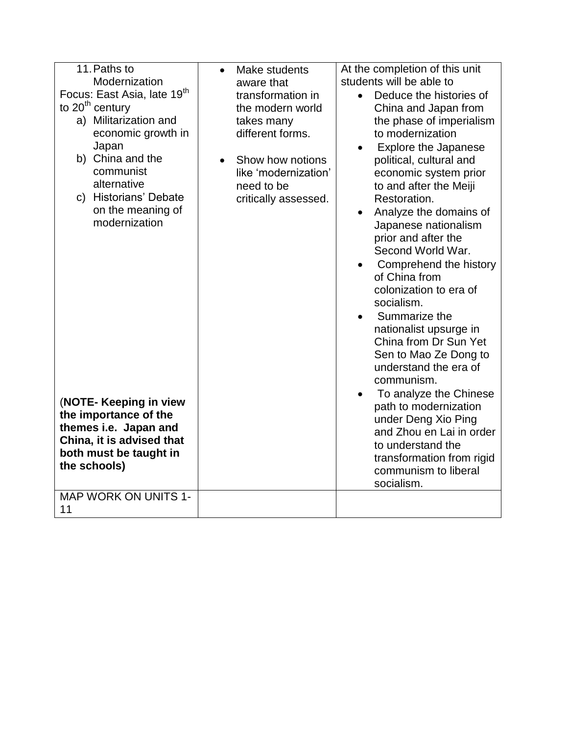| 11. Paths to<br>Modernization<br>Focus: East Asia, late 19 <sup>th</sup><br>to $20th$ century<br>a) Militarization and<br>economic growth in<br>Japan<br>b) China and the<br>communist<br>alternative<br>c) Historians' Debate<br>on the meaning of<br>modernization<br>(NOTE- Keeping in view<br>the importance of the<br>themes i.e. Japan and<br>China, it is advised that<br>both must be taught in<br>the schools)<br><b>MAP WORK ON UNITS 1-</b> | Make students<br>$\bullet$<br>aware that<br>transformation in<br>the modern world<br>takes many<br>different forms.<br>Show how notions<br>like 'modernization'<br>need to be<br>critically assessed. | At the completion of this unit<br>students will be able to<br>Deduce the histories of<br>$\bullet$<br>China and Japan from<br>the phase of imperialism<br>to modernization<br><b>Explore the Japanese</b><br>political, cultural and<br>economic system prior<br>to and after the Meiji<br>Restoration.<br>Analyze the domains of<br>Japanese nationalism<br>prior and after the<br>Second World War.<br>Comprehend the history<br>of China from<br>colonization to era of<br>socialism.<br>Summarize the<br>nationalist upsurge in<br>China from Dr Sun Yet<br>Sen to Mao Ze Dong to<br>understand the era of<br>communism.<br>To analyze the Chinese<br>path to modernization<br>under Deng Xio Ping<br>and Zhou en Lai in order<br>to understand the<br>transformation from rigid<br>communism to liberal<br>socialism. |
|--------------------------------------------------------------------------------------------------------------------------------------------------------------------------------------------------------------------------------------------------------------------------------------------------------------------------------------------------------------------------------------------------------------------------------------------------------|-------------------------------------------------------------------------------------------------------------------------------------------------------------------------------------------------------|----------------------------------------------------------------------------------------------------------------------------------------------------------------------------------------------------------------------------------------------------------------------------------------------------------------------------------------------------------------------------------------------------------------------------------------------------------------------------------------------------------------------------------------------------------------------------------------------------------------------------------------------------------------------------------------------------------------------------------------------------------------------------------------------------------------------------|
| 11                                                                                                                                                                                                                                                                                                                                                                                                                                                     |                                                                                                                                                                                                       |                                                                                                                                                                                                                                                                                                                                                                                                                                                                                                                                                                                                                                                                                                                                                                                                                            |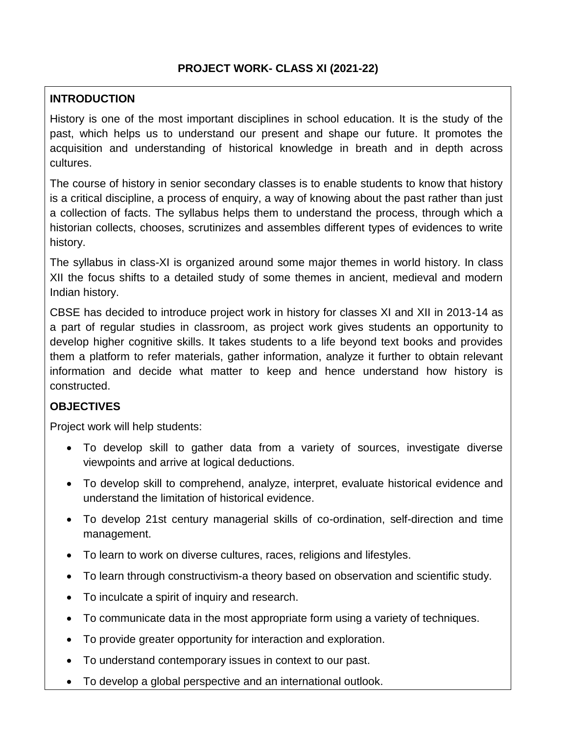## **INTRODUCTION**

History is one of the most important disciplines in school education. It is the study of the past, which helps us to understand our present and shape our future. It promotes the acquisition and understanding of historical knowledge in breath and in depth across cultures.

The course of history in senior secondary classes is to enable students to know that history is a critical discipline, a process of enquiry, a way of knowing about the past rather than just a collection of facts. The syllabus helps them to understand the process, through which a historian collects, chooses, scrutinizes and assembles different types of evidences to write history.

The syllabus in class-XI is organized around some major themes in world history. In class XII the focus shifts to a detailed study of some themes in ancient, medieval and modern Indian history.

CBSE has decided to introduce project work in history for classes XI and XII in 2013-14 as a part of regular studies in classroom, as project work gives students an opportunity to develop higher cognitive skills. It takes students to a life beyond text books and provides them a platform to refer materials, gather information, analyze it further to obtain relevant information and decide what matter to keep and hence understand how history is constructed.

#### **OBJECTIVES**

Project work will help students:

- To develop skill to gather data from a variety of sources, investigate diverse viewpoints and arrive at logical deductions.
- To develop skill to comprehend, analyze, interpret, evaluate historical evidence and understand the limitation of historical evidence.
- To develop 21st century managerial skills of co-ordination, self-direction and time management.
- To learn to work on diverse cultures, races, religions and lifestyles.
- To learn through constructivism-a theory based on observation and scientific study.
- To inculcate a spirit of inquiry and research.
- To communicate data in the most appropriate form using a variety of techniques.
- To provide greater opportunity for interaction and exploration.
- To understand contemporary issues in context to our past.
- To develop a global perspective and an international outlook.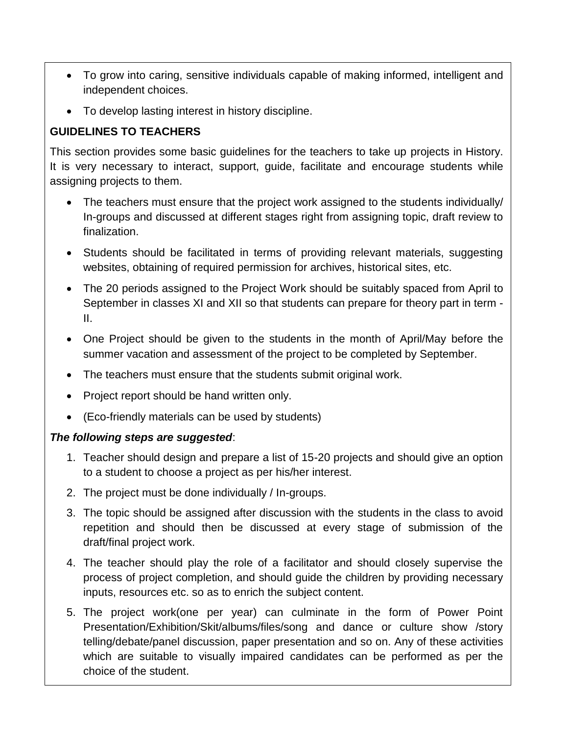- To grow into caring, sensitive individuals capable of making informed, intelligent and independent choices.
- To develop lasting interest in history discipline.

# **GUIDELINES TO TEACHERS**

This section provides some basic guidelines for the teachers to take up projects in History. It is very necessary to interact, support, guide, facilitate and encourage students while assigning projects to them.

- The teachers must ensure that the project work assigned to the students individually/ In-groups and discussed at different stages right from assigning topic, draft review to finalization.
- Students should be facilitated in terms of providing relevant materials, suggesting websites, obtaining of required permission for archives, historical sites, etc.
- The 20 periods assigned to the Project Work should be suitably spaced from April to September in classes XI and XII so that students can prepare for theory part in term - II.
- One Project should be given to the students in the month of April/May before the summer vacation and assessment of the project to be completed by September.
- The teachers must ensure that the students submit original work.
- Project report should be hand written only.
- (Eco-friendly materials can be used by students)

#### *The following steps are suggested*:

- 1. Teacher should design and prepare a list of 15-20 projects and should give an option to a student to choose a project as per his/her interest.
- 2. The project must be done individually / In-groups.
- 3. The topic should be assigned after discussion with the students in the class to avoid repetition and should then be discussed at every stage of submission of the draft/final project work.
- 4. The teacher should play the role of a facilitator and should closely supervise the process of project completion, and should guide the children by providing necessary inputs, resources etc. so as to enrich the subject content.
- 5. The project work(one per year) can culminate in the form of Power Point Presentation/Exhibition/Skit/albums/files/song and dance or culture show /story telling/debate/panel discussion, paper presentation and so on. Any of these activities which are suitable to visually impaired candidates can be performed as per the choice of the student.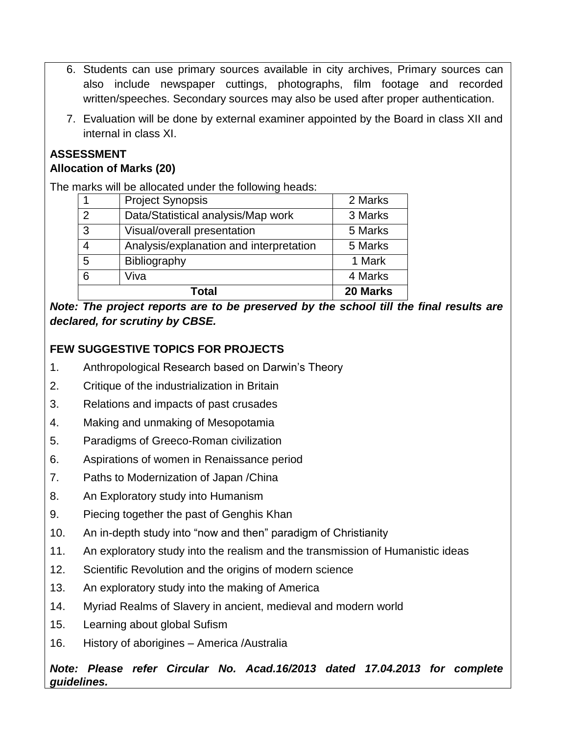- 6. Students can use primary sources available in city archives, Primary sources can also include newspaper cuttings, photographs, film footage and recorded written/speeches. Secondary sources may also be used after proper authentication.
- 7. Evaluation will be done by external examiner appointed by the Board in class XII and internal in class XI.

# **ASSESSMENT**

# **Allocation of Marks (20)**

The marks will be allocated under the following heads:

|                | Total                                   | 20 Marks |
|----------------|-----------------------------------------|----------|
| 6              | Viva                                    | 4 Marks  |
| 5              | Bibliography                            | 1 Mark   |
| 4              | Analysis/explanation and interpretation | 5 Marks  |
| 3              | Visual/overall presentation             | 5 Marks  |
| $\overline{2}$ | Data/Statistical analysis/Map work      | 3 Marks  |
|                | <b>Project Synopsis</b>                 | 2 Marks  |

*Note: The project reports are to be preserved by the school till the final results are declared, for scrutiny by CBSE.*

# **FEW SUGGESTIVE TOPICS FOR PROJECTS**

- 1. Anthropological Research based on Darwin's Theory
- 2. Critique of the industrialization in Britain
- 3. Relations and impacts of past crusades
- 4. Making and unmaking of Mesopotamia
- 5. Paradigms of Greeco-Roman civilization
- 6. Aspirations of women in Renaissance period
- 7. Paths to Modernization of Japan /China
- 8. An Exploratory study into Humanism
- 9. Piecing together the past of Genghis Khan
- 10. An in-depth study into "now and then" paradigm of Christianity
- 11. An exploratory study into the realism and the transmission of Humanistic ideas
- 12. Scientific Revolution and the origins of modern science
- 13. An exploratory study into the making of America
- 14. Myriad Realms of Slavery in ancient, medieval and modern world
- 15. Learning about global Sufism
- 16. History of aborigines America /Australia

*Note: Please refer Circular No. Acad.16/2013 dated 17.04.2013 for complete guidelines.*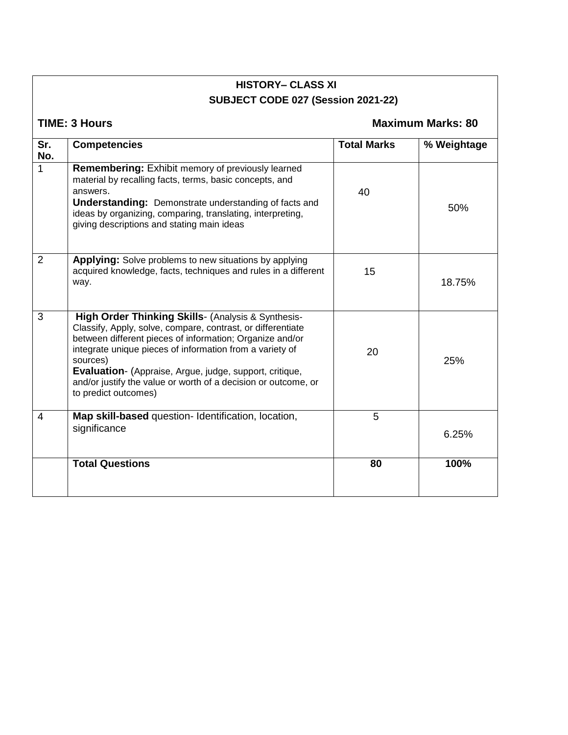# **HISTORY– CLASS XI SUBJECT CODE 027 (Session 2021-22)**

**TIME: 3 Hours Maximum Marks: 80** 

| Sr.<br>No. | <b>Competencies</b>                                                                                                                                                                                                                                                                                                                                                                                        | <b>Total Marks</b> | % Weightage |
|------------|------------------------------------------------------------------------------------------------------------------------------------------------------------------------------------------------------------------------------------------------------------------------------------------------------------------------------------------------------------------------------------------------------------|--------------------|-------------|
| 1          | <b>Remembering: Exhibit memory of previously learned</b><br>material by recalling facts, terms, basic concepts, and<br>answers.<br><b>Understanding:</b> Demonstrate understanding of facts and<br>ideas by organizing, comparing, translating, interpreting,<br>giving descriptions and stating main ideas                                                                                                | 40                 | 50%         |
| 2          | <b>Applying:</b> Solve problems to new situations by applying<br>acquired knowledge, facts, techniques and rules in a different<br>way.                                                                                                                                                                                                                                                                    | 15                 | 18.75%      |
| 3          | High Order Thinking Skills- (Analysis & Synthesis-<br>Classify, Apply, solve, compare, contrast, or differentiate<br>between different pieces of information; Organize and/or<br>integrate unique pieces of information from a variety of<br>sources)<br>Evaluation- (Appraise, Argue, judge, support, critique,<br>and/or justify the value or worth of a decision or outcome, or<br>to predict outcomes) | 20                 | 25%         |
| 4          | Map skill-based question- Identification, location,<br>significance                                                                                                                                                                                                                                                                                                                                        | 5                  | 6.25%       |
|            | <b>Total Questions</b>                                                                                                                                                                                                                                                                                                                                                                                     | 80                 | 100%        |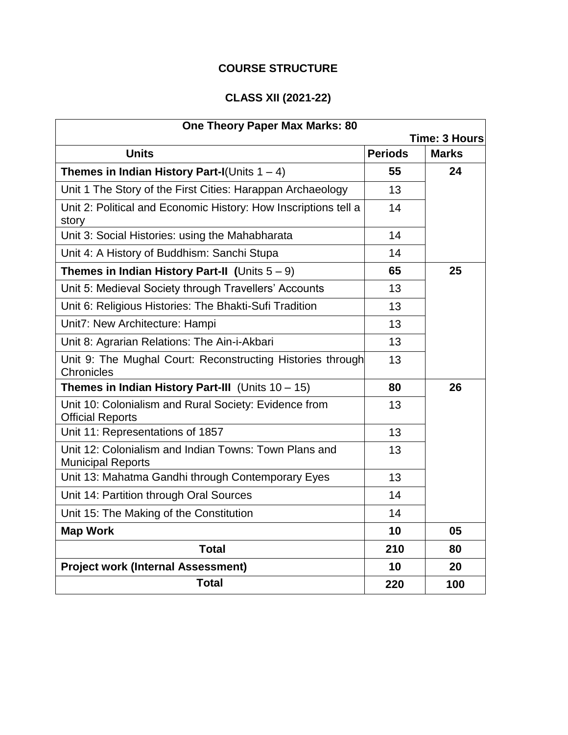# **COURSE STRUCTURE**

# **CLASS XII (2021-22)**

| <b>One Theory Paper Max Marks: 80</b>                                             |                |                      |
|-----------------------------------------------------------------------------------|----------------|----------------------|
|                                                                                   |                | <b>Time: 3 Hours</b> |
| <b>Units</b>                                                                      | <b>Periods</b> | <b>Marks</b>         |
| Themes in Indian History Part-I(Units $1 - 4$ )                                   | 55             | 24                   |
| Unit 1 The Story of the First Cities: Harappan Archaeology                        | 13             |                      |
| Unit 2: Political and Economic History: How Inscriptions tell a<br>story          | 14             |                      |
| Unit 3: Social Histories: using the Mahabharata                                   | 14             |                      |
| Unit 4: A History of Buddhism: Sanchi Stupa                                       | 14             |                      |
| <b>Themes in Indian History Part-II (Units <math>5 - 9</math>)</b>                | 65             | 25                   |
| Unit 5: Medieval Society through Travellers' Accounts                             | 13             |                      |
| Unit 6: Religious Histories: The Bhakti-Sufi Tradition                            | 13             |                      |
| Unit7: New Architecture: Hampi                                                    | 13             |                      |
| Unit 8: Agrarian Relations: The Ain-i-Akbari                                      | 13             |                      |
| Unit 9: The Mughal Court: Reconstructing Histories through<br>Chronicles          | 13             |                      |
| Themes in Indian History Part-III (Units $10 - 15$ )                              | 80             | 26                   |
| Unit 10: Colonialism and Rural Society: Evidence from<br><b>Official Reports</b>  | 13             |                      |
| Unit 11: Representations of 1857                                                  | 13             |                      |
| Unit 12: Colonialism and Indian Towns: Town Plans and<br><b>Municipal Reports</b> | 13             |                      |
| Unit 13: Mahatma Gandhi through Contemporary Eyes                                 | 13             |                      |
| Unit 14: Partition through Oral Sources                                           | 14             |                      |
| Unit 15: The Making of the Constitution                                           | 14             |                      |
| <b>Map Work</b>                                                                   | 10             | 05                   |
| <b>Total</b>                                                                      | 210            | 80                   |
| <b>Project work (Internal Assessment)</b>                                         | 10             | 20                   |
| <b>Total</b>                                                                      | 220            | 100                  |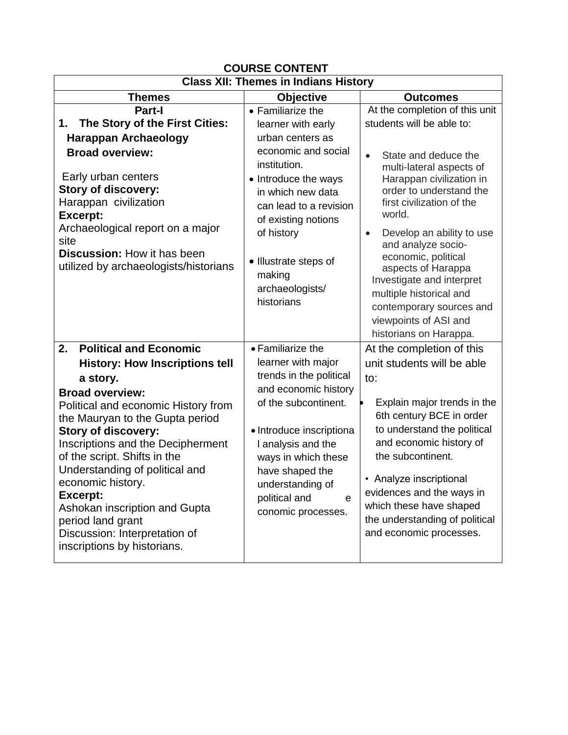| <b>COURSE CONTENT</b>                                                                                                                                                                                                                                                                                                                                                                                                                                                                           |                                                                                                                                                                                                                                                                                    |                                                                                                                                                                                                                                                                                                                                                                                                                                                                                |  |
|-------------------------------------------------------------------------------------------------------------------------------------------------------------------------------------------------------------------------------------------------------------------------------------------------------------------------------------------------------------------------------------------------------------------------------------------------------------------------------------------------|------------------------------------------------------------------------------------------------------------------------------------------------------------------------------------------------------------------------------------------------------------------------------------|--------------------------------------------------------------------------------------------------------------------------------------------------------------------------------------------------------------------------------------------------------------------------------------------------------------------------------------------------------------------------------------------------------------------------------------------------------------------------------|--|
| <b>Class XII: Themes in Indians History</b>                                                                                                                                                                                                                                                                                                                                                                                                                                                     |                                                                                                                                                                                                                                                                                    |                                                                                                                                                                                                                                                                                                                                                                                                                                                                                |  |
| Themes                                                                                                                                                                                                                                                                                                                                                                                                                                                                                          | <b>Objective</b>                                                                                                                                                                                                                                                                   | <b>Outcomes</b>                                                                                                                                                                                                                                                                                                                                                                                                                                                                |  |
| Part-I<br>The Story of the First Cities:<br>1.<br><b>Harappan Archaeology</b><br><b>Broad overview:</b><br>Early urban centers<br><b>Story of discovery:</b><br>Harappan civilization<br><b>Excerpt:</b><br>Archaeological report on a major<br>site<br><b>Discussion: How it has been</b><br>utilized by archaeologists/historians                                                                                                                                                             | • Familiarize the<br>learner with early<br>urban centers as<br>economic and social<br>institution.<br>• Introduce the ways<br>in which new data<br>can lead to a revision<br>of existing notions<br>of history<br>• Illustrate steps of<br>making<br>archaeologists/<br>historians | At the completion of this unit<br>students will be able to:<br>State and deduce the<br>$\bullet$<br>multi-lateral aspects of<br>Harappan civilization in<br>order to understand the<br>first civilization of the<br>world.<br>Develop an ability to use<br>$\bullet$<br>and analyze socio-<br>economic, political<br>aspects of Harappa<br>Investigate and interpret<br>multiple historical and<br>contemporary sources and<br>viewpoints of ASI and<br>historians on Harappa. |  |
| <b>Political and Economic</b><br>2.<br><b>History: How Inscriptions tell</b><br>a story.<br><b>Broad overview:</b><br>Political and economic History from<br>the Mauryan to the Gupta period<br><b>Story of discovery:</b><br>Inscriptions and the Decipherment<br>of the script. Shifts in the<br>Understanding of political and<br>economic history.<br><b>Excerpt:</b><br>Ashokan inscription and Gupta<br>period land grant<br>Discussion: Interpretation of<br>inscriptions by historians. | • Familiarize the<br>learner with major<br>trends in the political<br>and economic history<br>of the subcontinent.<br>• Introduce inscriptiona<br>I analysis and the<br>ways in which these<br>have shaped the<br>understanding of<br>political and<br>e<br>conomic processes.     | At the completion of this<br>unit students will be able<br>to:<br>Explain major trends in the<br>6th century BCE in order<br>to understand the political<br>and economic history of<br>the subcontinent.<br>Analyze inscriptional<br>evidences and the ways in<br>which these have shaped<br>the understanding of political<br>and economic processes.                                                                                                                         |  |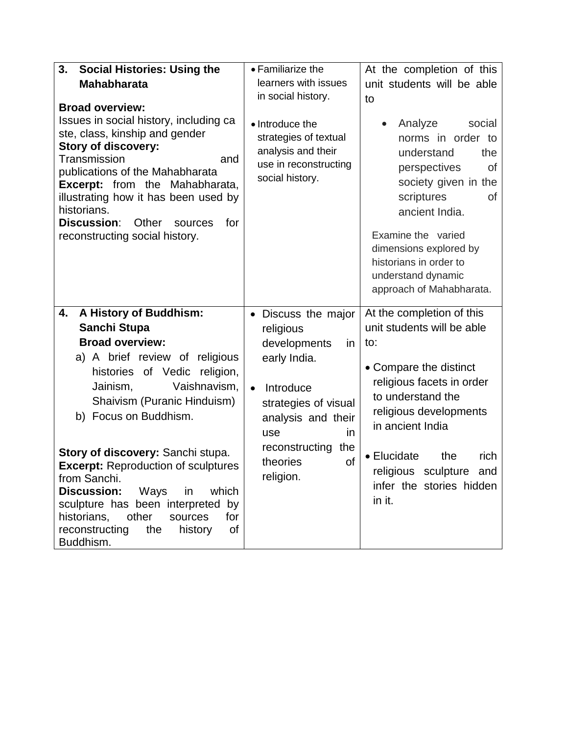| 3.<br><b>Social Histories: Using the</b>                                                                                                                                                                                                                                                                                                     | • Familiarize the                                                                                          | At the completion of this                                                                                                                                                                                                                                                                       |
|----------------------------------------------------------------------------------------------------------------------------------------------------------------------------------------------------------------------------------------------------------------------------------------------------------------------------------------------|------------------------------------------------------------------------------------------------------------|-------------------------------------------------------------------------------------------------------------------------------------------------------------------------------------------------------------------------------------------------------------------------------------------------|
| <b>Mahabharata</b>                                                                                                                                                                                                                                                                                                                           | learners with issues                                                                                       | unit students will be able                                                                                                                                                                                                                                                                      |
| <b>Broad overview:</b>                                                                                                                                                                                                                                                                                                                       | in social history.                                                                                         | to                                                                                                                                                                                                                                                                                              |
| Issues in social history, including ca<br>ste, class, kinship and gender<br><b>Story of discovery:</b><br>Transmission<br>and<br>publications of the Mahabharata<br><b>Excerpt:</b> from the Mahabharata,<br>illustrating how it has been used by<br>historians.<br>Discussion:<br>Other<br>for<br>sources<br>reconstructing social history. | • Introduce the<br>strategies of textual<br>analysis and their<br>use in reconstructing<br>social history. | Analyze<br>social<br>$\bullet$<br>norms in order to<br>understand<br>the<br><b>of</b><br>perspectives<br>society given in the<br>scriptures<br>οf<br>ancient India.<br>Examine the varied<br>dimensions explored by<br>historians in order to<br>understand dynamic<br>approach of Mahabharata. |
| A History of Buddhism:<br>4.<br>Sanchi Stupa                                                                                                                                                                                                                                                                                                 | Discuss the major                                                                                          | At the completion of this<br>unit students will be able                                                                                                                                                                                                                                         |
| <b>Broad overview:</b>                                                                                                                                                                                                                                                                                                                       | religious<br>developments<br>in.                                                                           | to:                                                                                                                                                                                                                                                                                             |
| a) A brief review of religious                                                                                                                                                                                                                                                                                                               | early India.                                                                                               |                                                                                                                                                                                                                                                                                                 |
| histories of Vedic<br>religion,                                                                                                                                                                                                                                                                                                              |                                                                                                            | • Compare the distinct                                                                                                                                                                                                                                                                          |
| Vaishnavism,<br>Jainism,                                                                                                                                                                                                                                                                                                                     | Introduce<br>$\bullet$                                                                                     | religious facets in order                                                                                                                                                                                                                                                                       |
| Shaivism (Puranic Hinduism)                                                                                                                                                                                                                                                                                                                  | strategies of visual                                                                                       | to understand the                                                                                                                                                                                                                                                                               |
| b) Focus on Buddhism.                                                                                                                                                                                                                                                                                                                        | analysis and their                                                                                         | religious developments<br>in ancient India                                                                                                                                                                                                                                                      |
|                                                                                                                                                                                                                                                                                                                                              | use<br>in<br>reconstructing<br>the                                                                         |                                                                                                                                                                                                                                                                                                 |
| Story of discovery: Sanchi stupa.<br><b>Excerpt: Reproduction of sculptures</b>                                                                                                                                                                                                                                                              | theories<br>of                                                                                             | • Elucidate<br>the<br>rich                                                                                                                                                                                                                                                                      |
| from Sanchi.                                                                                                                                                                                                                                                                                                                                 | religion.                                                                                                  | religious sculpture<br>and                                                                                                                                                                                                                                                                      |
| <b>Discussion:</b><br>which<br>Ways<br>in                                                                                                                                                                                                                                                                                                    |                                                                                                            | infer the stories hidden                                                                                                                                                                                                                                                                        |
| sculpture has been interpreted by                                                                                                                                                                                                                                                                                                            |                                                                                                            | in it.                                                                                                                                                                                                                                                                                          |
| historians,<br>other<br>for<br>sources                                                                                                                                                                                                                                                                                                       |                                                                                                            |                                                                                                                                                                                                                                                                                                 |
| reconstructing<br>the<br>history<br>of                                                                                                                                                                                                                                                                                                       |                                                                                                            |                                                                                                                                                                                                                                                                                                 |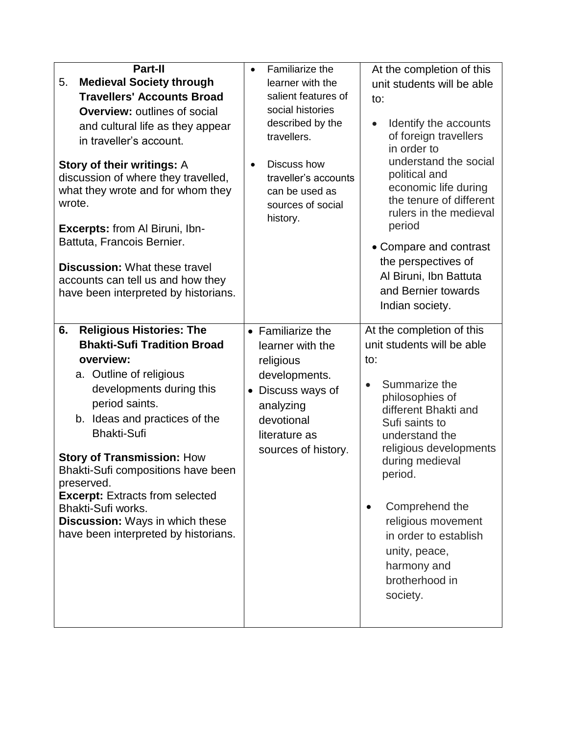| Part-II                                                                                                                                                                                                               | Familiarize the<br>$\bullet$                                                                                     | At the completion of this                                                                                                                            |
|-----------------------------------------------------------------------------------------------------------------------------------------------------------------------------------------------------------------------|------------------------------------------------------------------------------------------------------------------|------------------------------------------------------------------------------------------------------------------------------------------------------|
| <b>Medieval Society through</b><br>5.                                                                                                                                                                                 | learner with the                                                                                                 | unit students will be able                                                                                                                           |
| <b>Travellers' Accounts Broad</b>                                                                                                                                                                                     | salient features of                                                                                              | to:                                                                                                                                                  |
| <b>Overview: outlines of social</b>                                                                                                                                                                                   | social histories                                                                                                 |                                                                                                                                                      |
| and cultural life as they appear                                                                                                                                                                                      | described by the                                                                                                 | Identify the accounts                                                                                                                                |
| in traveller's account.                                                                                                                                                                                               | travellers.                                                                                                      | of foreign travellers<br>in order to                                                                                                                 |
| Story of their writings: A<br>discussion of where they travelled,<br>what they wrote and for whom they<br>wrote.<br>Excerpts: from Al Biruni, Ibn-                                                                    | Discuss how<br>$\bullet$<br>traveller's accounts<br>can be used as<br>sources of social<br>history.              | understand the social<br>political and<br>economic life during<br>the tenure of different<br>rulers in the medieval<br>period                        |
| Battuta, Francois Bernier.                                                                                                                                                                                            |                                                                                                                  | • Compare and contrast                                                                                                                               |
| <b>Discussion: What these travel</b><br>accounts can tell us and how they<br>have been interpreted by historians.                                                                                                     |                                                                                                                  | the perspectives of<br>Al Biruni, Ibn Battuta<br>and Bernier towards<br>Indian society.                                                              |
| <b>Religious Histories: The</b><br>6.                                                                                                                                                                                 | • Familiarize the                                                                                                | At the completion of this                                                                                                                            |
| <b>Bhakti-Sufi Tradition Broad</b>                                                                                                                                                                                    | learner with the                                                                                                 | unit students will be able                                                                                                                           |
| overview:                                                                                                                                                                                                             | religious                                                                                                        | to:                                                                                                                                                  |
| a. Outline of religious<br>developments during this<br>period saints.<br>b. Ideas and practices of the<br><b>Bhakti-Sufi</b><br><b>Story of Transmission: How</b><br>Bhakti-Sufi compositions have been<br>preserved. | developments.<br>Discuss ways of<br>$\bullet$<br>analyzing<br>devotional<br>literature as<br>sources of history. | Summarize the<br>philosophies of<br>different Bhakti and<br>Sufi saints to<br>understand the<br>religious developments<br>during medieval<br>period. |
| <b>Excerpt: Extracts from selected</b><br>Bhakti-Sufi works.<br>Discussion: Ways in which these<br>have been interpreted by historians.                                                                               |                                                                                                                  | Comprehend the<br>$\bullet$<br>religious movement<br>in order to establish<br>unity, peace,<br>harmony and<br>brotherhood in<br>society.             |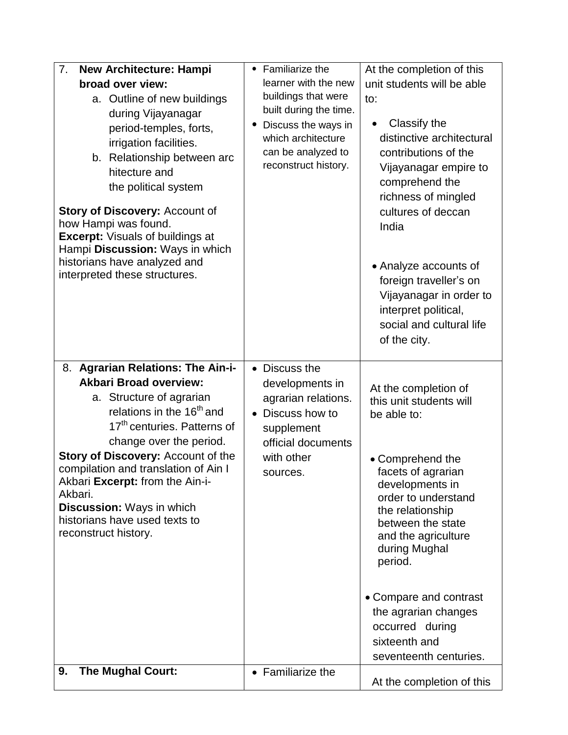| 7.<br>New Architecture: Hampi<br>broad over view:<br>a. Outline of new buildings<br>during Vijayanagar<br>period-temples, forts,<br>irrigation facilities.<br>b. Relationship between arc<br>hitecture and<br>the political system<br><b>Story of Discovery: Account of</b>                 | • Familiarize the<br>learner with the new<br>buildings that were<br>built during the time.<br>Discuss the ways in<br>which architecture<br>can be analyzed to<br>reconstruct history. | At the completion of this<br>unit students will be able<br>to:<br>Classify the<br>distinctive architectural<br>contributions of the<br>Vijayanagar empire to<br>comprehend the<br>richness of mingled<br>cultures of deccan |
|---------------------------------------------------------------------------------------------------------------------------------------------------------------------------------------------------------------------------------------------------------------------------------------------|---------------------------------------------------------------------------------------------------------------------------------------------------------------------------------------|-----------------------------------------------------------------------------------------------------------------------------------------------------------------------------------------------------------------------------|
| how Hampi was found.<br><b>Excerpt: Visuals of buildings at</b><br>Hampi Discussion: Ways in which<br>historians have analyzed and<br>interpreted these structures.                                                                                                                         |                                                                                                                                                                                       | India<br>• Analyze accounts of<br>foreign traveller's on<br>Vijayanagar in order to<br>interpret political,<br>social and cultural life<br>of the city.                                                                     |
| 8. Agrarian Relations: The Ain-i-<br><b>Akbari Broad overview:</b><br>a. Structure of agrarian<br>relations in the 16 <sup>th</sup> and<br>17 <sup>th</sup> centuries. Patterns of<br>change over the period.<br>Story of Discovery: Account of the<br>compilation and translation of Ain I | • Discuss the<br>developments in<br>agrarian relations.<br>Discuss how to<br>$\bullet$<br>supplement<br>official documents<br>with other                                              | At the completion of<br>this unit students will<br>be able to:<br>• Comprehend the                                                                                                                                          |
| Akbari Excerpt: from the Ain-i-<br>Akbari.<br><b>Discussion: Ways in which</b><br>historians have used texts to<br>reconstruct history.                                                                                                                                                     | sources.                                                                                                                                                                              | facets of agrarian<br>developments in<br>order to understand<br>the relationship<br>between the state<br>and the agriculture<br>during Mughal<br>period.                                                                    |
|                                                                                                                                                                                                                                                                                             |                                                                                                                                                                                       | • Compare and contrast<br>the agrarian changes<br>occurred during<br>sixteenth and<br>seventeenth centuries.                                                                                                                |
| <b>The Mughal Court:</b><br>9.                                                                                                                                                                                                                                                              | • Familiarize the                                                                                                                                                                     | At the completion of this                                                                                                                                                                                                   |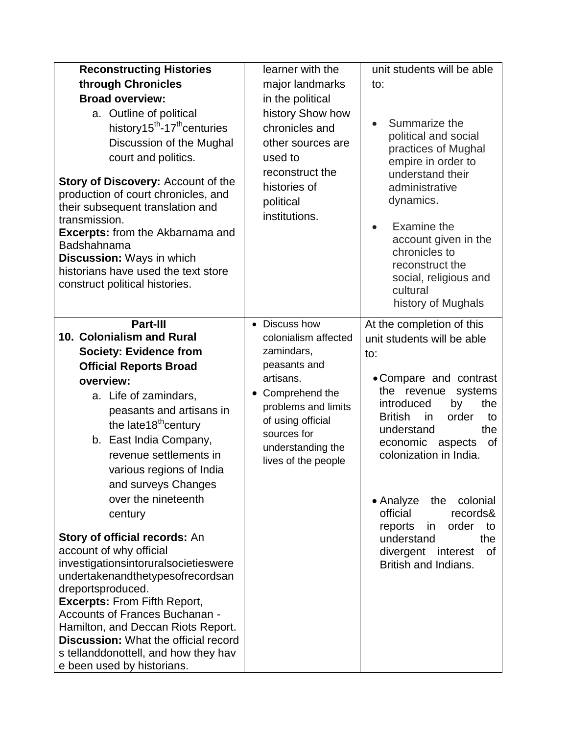| <b>Reconstructing Histories</b><br>through Chronicles<br><b>Broad overview:</b><br>a. Outline of political<br>history15 <sup>th</sup> -17 <sup>th</sup> centuries<br>Discussion of the Mughal<br>court and politics.<br><b>Story of Discovery: Account of the</b><br>production of court chronicles, and<br>their subsequent translation and<br>transmission.<br><b>Excerpts:</b> from the Akbarnama and<br>Badshahnama<br><b>Discussion: Ways in which</b><br>historians have used the text store<br>construct political histories.                                                                                                                                                                                                                    | learner with the<br>major landmarks<br>in the political<br>history Show how<br>chronicles and<br>other sources are<br>used to<br>reconstruct the<br>histories of<br>political<br>institutions.                 | unit students will be able<br>to:<br>Summarize the<br>$\bullet$<br>political and social<br>practices of Mughal<br>empire in order to<br>understand their<br>administrative<br>dynamics.<br>Examine the<br>$\bullet$<br>account given in the<br>chronicles to<br>reconstruct the<br>social, religious and<br>cultural<br>history of Mughals                                                                                         |
|---------------------------------------------------------------------------------------------------------------------------------------------------------------------------------------------------------------------------------------------------------------------------------------------------------------------------------------------------------------------------------------------------------------------------------------------------------------------------------------------------------------------------------------------------------------------------------------------------------------------------------------------------------------------------------------------------------------------------------------------------------|----------------------------------------------------------------------------------------------------------------------------------------------------------------------------------------------------------------|------------------------------------------------------------------------------------------------------------------------------------------------------------------------------------------------------------------------------------------------------------------------------------------------------------------------------------------------------------------------------------------------------------------------------------|
| Part-III<br>10. Colonialism and Rural<br><b>Society: Evidence from</b><br><b>Official Reports Broad</b><br>overview:<br>a. Life of zamindars,<br>peasants and artisans in<br>the late18 <sup>th</sup> century<br>b. East India Company,<br>revenue settlements in<br>various regions of India<br>and surveys Changes<br>over the nineteenth<br>century<br>Story of official records: An<br>account of why official<br>investigationsintoruralsocietieswere<br>undertakenandthetypesofrecordsan<br>dreportsproduced.<br><b>Excerpts: From Fifth Report,</b><br>Accounts of Frances Buchanan -<br>Hamilton, and Deccan Riots Report.<br><b>Discussion:</b> What the official record<br>s tellanddonottell, and how they hav<br>e been used by historians. | • Discuss how<br>colonialism affected<br>zamindars,<br>peasants and<br>artisans.<br>Comprehend the<br>٠<br>problems and limits<br>of using official<br>sources for<br>understanding the<br>lives of the people | At the completion of this<br>unit students will be able<br>to:<br>• Compare and contrast<br>the revenue<br>systems<br>introduced<br>by<br>the<br><b>British</b><br>order<br>in.<br>to<br>understand<br>the<br>economic<br>of<br>aspects<br>colonization in India.<br>• Analyze<br>the<br>colonial<br>official<br>records&<br>reports<br>in<br>order<br>to<br>understand<br>the<br>divergent interest<br>0f<br>British and Indians. |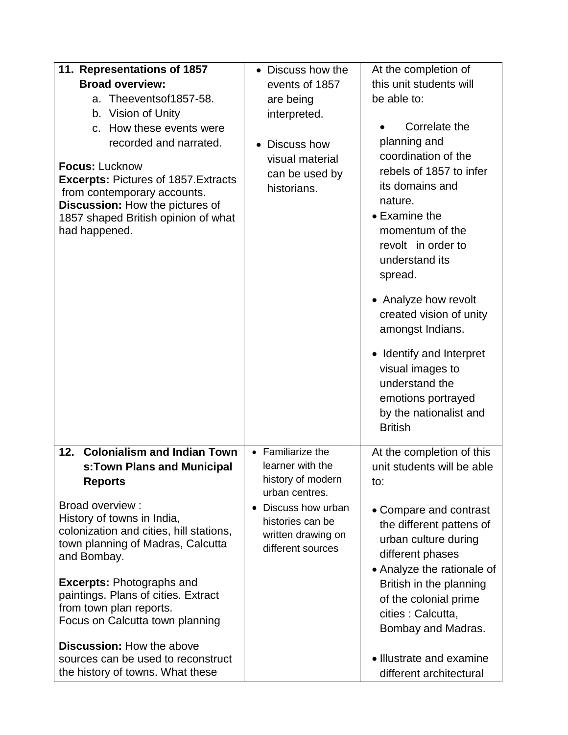| 11. Representations of 1857<br><b>Broad overview:</b><br>a. Theeventsof1857-58.<br>b. Vision of Unity<br>c. How these events were<br>recorded and narrated.<br><b>Focus: Lucknow</b><br><b>Excerpts: Pictures of 1857. Extracts</b><br>from contemporary accounts.<br>Discussion: How the pictures of<br>1857 shaped British opinion of what<br>had happened. | • Discuss how the<br>events of 1857<br>are being<br>interpreted.<br>• Discuss how<br>visual material<br>can be used by<br>historians. | At the completion of<br>this unit students will<br>be able to:<br>Correlate the<br>planning and<br>coordination of the<br>rebels of 1857 to infer<br>its domains and<br>nature.<br>• Examine the<br>momentum of the<br>revolt in order to<br>understand its<br>spread.<br>• Analyze how revolt<br>created vision of unity<br>amongst Indians.<br>• Identify and Interpret<br>visual images to<br>understand the<br>emotions portrayed<br>by the nationalist and<br><b>British</b> |
|---------------------------------------------------------------------------------------------------------------------------------------------------------------------------------------------------------------------------------------------------------------------------------------------------------------------------------------------------------------|---------------------------------------------------------------------------------------------------------------------------------------|-----------------------------------------------------------------------------------------------------------------------------------------------------------------------------------------------------------------------------------------------------------------------------------------------------------------------------------------------------------------------------------------------------------------------------------------------------------------------------------|
| <b>Colonialism and Indian Town</b><br>12.<br>s:Town Plans and Municipal<br><b>Reports</b><br>Broad overview:                                                                                                                                                                                                                                                  | • Familiarize the<br>learner with the<br>history of modern<br>urban centres.<br>Discuss how urban                                     | At the completion of this<br>unit students will be able<br>to:                                                                                                                                                                                                                                                                                                                                                                                                                    |
| History of towns in India,<br>colonization and cities, hill stations,<br>town planning of Madras, Calcutta<br>and Bombay.                                                                                                                                                                                                                                     | histories can be<br>written drawing on<br>different sources                                                                           | • Compare and contrast<br>the different pattens of<br>urban culture during<br>different phases<br>• Analyze the rationale of                                                                                                                                                                                                                                                                                                                                                      |
| <b>Excerpts: Photographs and</b><br>paintings. Plans of cities. Extract<br>from town plan reports.<br>Focus on Calcutta town planning                                                                                                                                                                                                                         |                                                                                                                                       | British in the planning<br>of the colonial prime<br>cities : Calcutta,<br>Bombay and Madras.                                                                                                                                                                                                                                                                                                                                                                                      |
| <b>Discussion: How the above</b><br>sources can be used to reconstruct<br>the history of towns. What these                                                                                                                                                                                                                                                    |                                                                                                                                       | • Illustrate and examine<br>different architectural                                                                                                                                                                                                                                                                                                                                                                                                                               |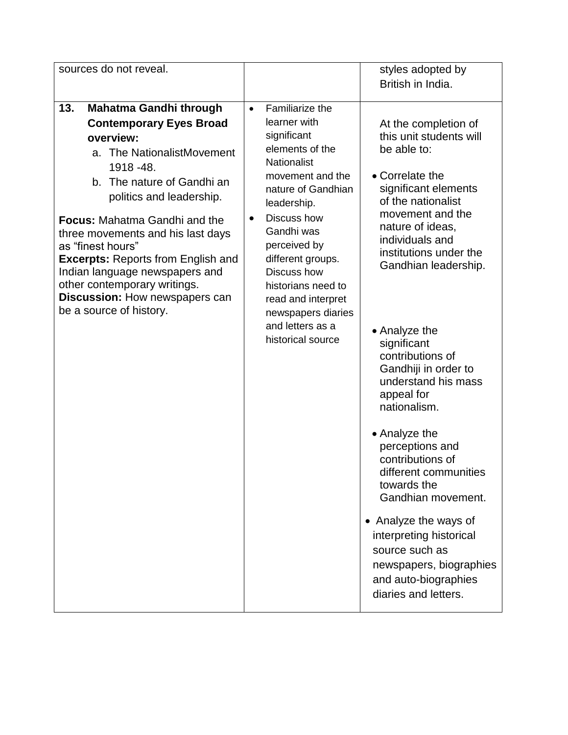| sources do not reveal.                                                                                                                                                                                                                                                                                                                                                                                                                                                  |                                                                                                                                                                                                                                                                                                                                                                        | styles adopted by                                                                                                                                                                                                                                                                                                                                                                                                                                                                                                                                                                                                                                    |
|-------------------------------------------------------------------------------------------------------------------------------------------------------------------------------------------------------------------------------------------------------------------------------------------------------------------------------------------------------------------------------------------------------------------------------------------------------------------------|------------------------------------------------------------------------------------------------------------------------------------------------------------------------------------------------------------------------------------------------------------------------------------------------------------------------------------------------------------------------|------------------------------------------------------------------------------------------------------------------------------------------------------------------------------------------------------------------------------------------------------------------------------------------------------------------------------------------------------------------------------------------------------------------------------------------------------------------------------------------------------------------------------------------------------------------------------------------------------------------------------------------------------|
|                                                                                                                                                                                                                                                                                                                                                                                                                                                                         |                                                                                                                                                                                                                                                                                                                                                                        | British in India.                                                                                                                                                                                                                                                                                                                                                                                                                                                                                                                                                                                                                                    |
| 13.<br><b>Mahatma Gandhi through</b><br><b>Contemporary Eyes Broad</b><br>overview:<br>a. The NationalistMovement<br>1918 - 48.<br>b. The nature of Gandhi an<br>politics and leadership.<br><b>Focus: Mahatma Gandhi and the</b><br>three movements and his last days<br>as "finest hours"<br><b>Excerpts: Reports from English and</b><br>Indian language newspapers and<br>other contemporary writings.<br>Discussion: How newspapers can<br>be a source of history. | Familiarize the<br>$\bullet$<br>learner with<br>significant<br>elements of the<br><b>Nationalist</b><br>movement and the<br>nature of Gandhian<br>leadership.<br>Discuss how<br>$\bullet$<br>Gandhi was<br>perceived by<br>different groups.<br>Discuss how<br>historians need to<br>read and interpret<br>newspapers diaries<br>and letters as a<br>historical source | At the completion of<br>this unit students will<br>be able to:<br>• Correlate the<br>significant elements<br>of the nationalist<br>movement and the<br>nature of ideas,<br>individuals and<br>institutions under the<br>Gandhian leadership.<br>• Analyze the<br>significant<br>contributions of<br>Gandhiji in order to<br>understand his mass<br>appeal for<br>nationalism.<br>• Analyze the<br>perceptions and<br>contributions of<br>different communities<br>towards the<br>Gandhian movement.<br>• Analyze the ways of<br>interpreting historical<br>source such as<br>newspapers, biographies<br>and auto-biographies<br>diaries and letters. |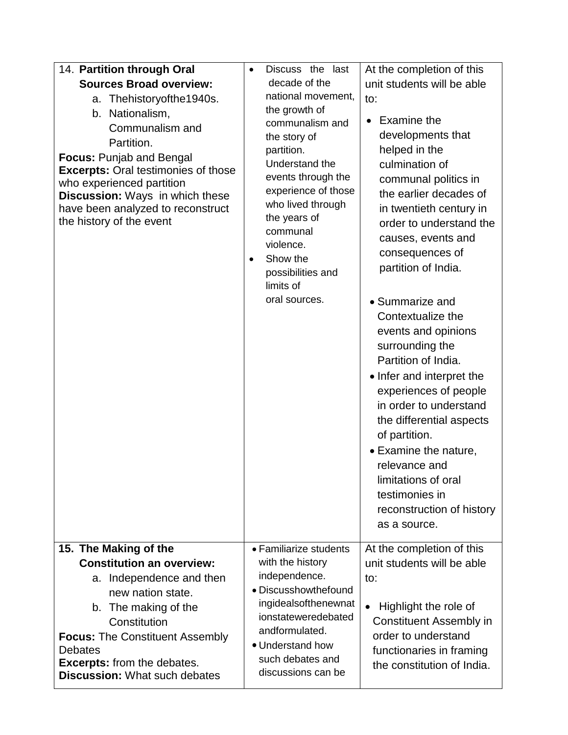| 14. Partition through Oral                                                                                                                                                                                                                                                                                                       | At the completion of this<br>Discuss the last<br>$\bullet$                                                                                                                                                                             |                                                                                                                                                                                                                                                                                                   |                                                                                                                                                                                                                                                                                                                                                                                                                                                                                                                                                                                                                                                                     |  |  |  |
|----------------------------------------------------------------------------------------------------------------------------------------------------------------------------------------------------------------------------------------------------------------------------------------------------------------------------------|----------------------------------------------------------------------------------------------------------------------------------------------------------------------------------------------------------------------------------------|---------------------------------------------------------------------------------------------------------------------------------------------------------------------------------------------------------------------------------------------------------------------------------------------------|---------------------------------------------------------------------------------------------------------------------------------------------------------------------------------------------------------------------------------------------------------------------------------------------------------------------------------------------------------------------------------------------------------------------------------------------------------------------------------------------------------------------------------------------------------------------------------------------------------------------------------------------------------------------|--|--|--|
| <b>Sources Broad overview:</b><br>a. Thehistoryofthe1940s.<br>b. Nationalism,<br>Communalism and<br>Partition.<br><b>Focus: Punjab and Bengal</b><br><b>Excerpts: Oral testimonies of those</b><br>who experienced partition<br>Discussion: Ways in which these<br>have been analyzed to reconstruct<br>the history of the event | $\bullet$                                                                                                                                                                                                                              | decade of the<br>national movement,<br>the growth of<br>communalism and<br>the story of<br>partition.<br>Understand the<br>events through the<br>experience of those<br>who lived through<br>the years of<br>communal<br>violence.<br>Show the<br>possibilities and<br>limits of<br>oral sources. | unit students will be able<br>to:<br>Examine the<br>$\bullet$<br>developments that<br>helped in the<br>culmination of<br>communal politics in<br>the earlier decades of<br>in twentieth century in<br>order to understand the<br>causes, events and<br>consequences of<br>partition of India.<br>• Summarize and<br>Contextualize the<br>events and opinions<br>surrounding the<br>Partition of India.<br>• Infer and interpret the<br>experiences of people<br>in order to understand<br>the differential aspects<br>of partition.<br>• Examine the nature,<br>relevance and<br>limitations of oral<br>testimonies in<br>reconstruction of history<br>as a source. |  |  |  |
| 15. The Making of the<br><b>Constitution an overview:</b><br>a. Independence and then<br>new nation state.<br>b. The making of the<br>Constitution<br><b>Focus: The Constituent Assembly</b><br><b>Debates</b><br><b>Excerpts:</b> from the debates.<br><b>Discussion: What such debates</b>                                     | • Familiarize students<br>with the history<br>independence.<br>to:<br>· Discusshowthefound<br>ingidealsofthenewnat<br>$\bullet$<br>ionstateweredebated<br>andformulated.<br>• Understand how<br>such debates and<br>discussions can be |                                                                                                                                                                                                                                                                                                   | At the completion of this<br>unit students will be able<br>Highlight the role of<br><b>Constituent Assembly in</b><br>order to understand<br>functionaries in framing<br>the constitution of India.                                                                                                                                                                                                                                                                                                                                                                                                                                                                 |  |  |  |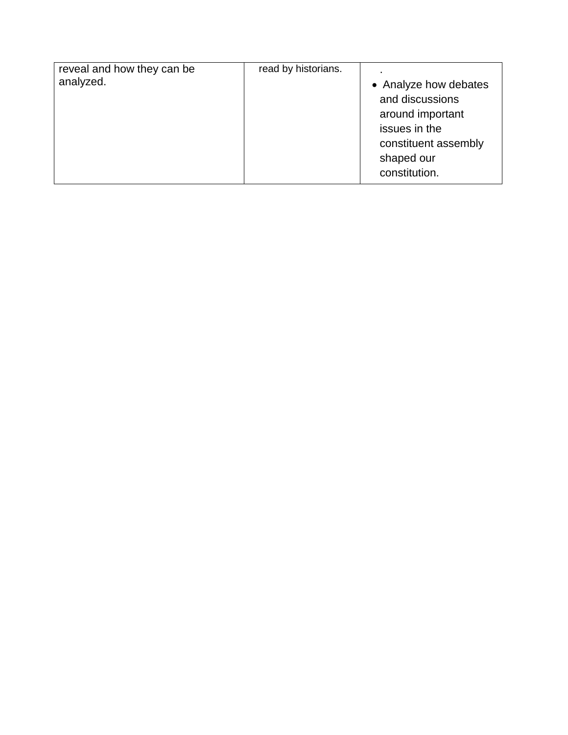| reveal and how they can be | read by historians. |                       |
|----------------------------|---------------------|-----------------------|
| analyzed.                  |                     | • Analyze how debates |
|                            |                     | and discussions       |
|                            |                     | around important      |
|                            |                     | issues in the         |
|                            |                     | constituent assembly  |
|                            |                     | shaped our            |
|                            |                     | constitution.         |
|                            |                     |                       |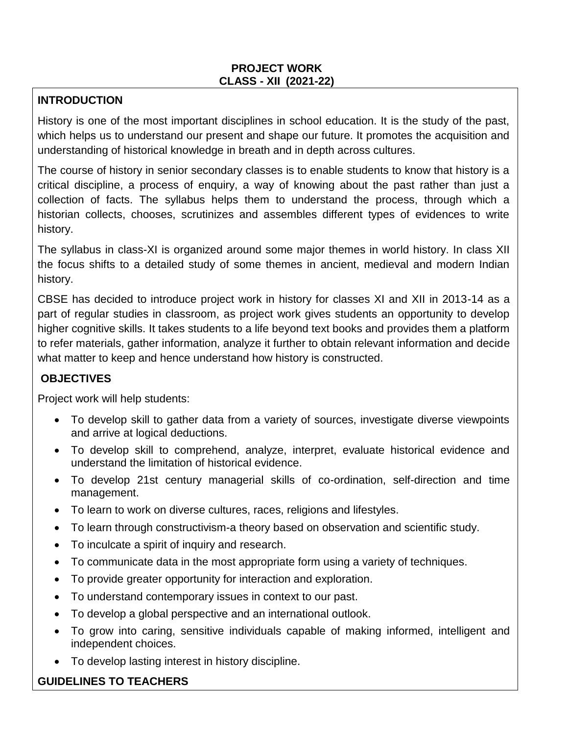#### **PROJECT WORK CLASS - XII (2021-22)**

#### **INTRODUCTION**

History is one of the most important disciplines in school education. It is the study of the past, which helps us to understand our present and shape our future. It promotes the acquisition and understanding of historical knowledge in breath and in depth across cultures.

The course of history in senior secondary classes is to enable students to know that history is a critical discipline, a process of enquiry, a way of knowing about the past rather than just a collection of facts. The syllabus helps them to understand the process, through which a historian collects, chooses, scrutinizes and assembles different types of evidences to write history.

The syllabus in class-XI is organized around some major themes in world history. In class XII the focus shifts to a detailed study of some themes in ancient, medieval and modern Indian history.

CBSE has decided to introduce project work in history for classes XI and XII in 2013-14 as a part of regular studies in classroom, as project work gives students an opportunity to develop higher cognitive skills. It takes students to a life beyond text books and provides them a platform to refer materials, gather information, analyze it further to obtain relevant information and decide what matter to keep and hence understand how history is constructed.

# **OBJECTIVES**

Project work will help students:

- To develop skill to gather data from a variety of sources, investigate diverse viewpoints and arrive at logical deductions.
- To develop skill to comprehend, analyze, interpret, evaluate historical evidence and understand the limitation of historical evidence.
- To develop 21st century managerial skills of co-ordination, self-direction and time management.
- To learn to work on diverse cultures, races, religions and lifestyles.
- To learn through constructivism-a theory based on observation and scientific study.
- To inculcate a spirit of inquiry and research.
- To communicate data in the most appropriate form using a variety of techniques.
- To provide greater opportunity for interaction and exploration.
- To understand contemporary issues in context to our past.
- To develop a global perspective and an international outlook.
- To grow into caring, sensitive individuals capable of making informed, intelligent and independent choices.
- To develop lasting interest in history discipline.

# **GUIDELINES TO TEACHERS**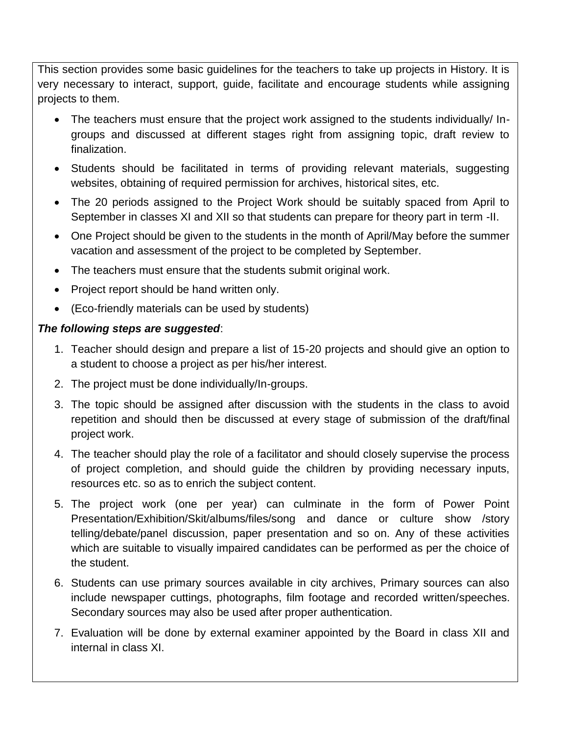This section provides some basic guidelines for the teachers to take up projects in History. It is very necessary to interact, support, guide, facilitate and encourage students while assigning projects to them.

- The teachers must ensure that the project work assigned to the students individually/ Ingroups and discussed at different stages right from assigning topic, draft review to finalization.
- Students should be facilitated in terms of providing relevant materials, suggesting websites, obtaining of required permission for archives, historical sites, etc.
- The 20 periods assigned to the Project Work should be suitably spaced from April to September in classes XI and XII so that students can prepare for theory part in term -II.
- One Project should be given to the students in the month of April/May before the summer vacation and assessment of the project to be completed by September.
- The teachers must ensure that the students submit original work.
- Project report should be hand written only.
- (Eco-friendly materials can be used by students)

#### *The following steps are suggested*:

- 1. Teacher should design and prepare a list of 15-20 projects and should give an option to a student to choose a project as per his/her interest.
- 2. The project must be done individually/In-groups.
- 3. The topic should be assigned after discussion with the students in the class to avoid repetition and should then be discussed at every stage of submission of the draft/final project work.
- 4. The teacher should play the role of a facilitator and should closely supervise the process of project completion, and should guide the children by providing necessary inputs, resources etc. so as to enrich the subject content.
- 5. The project work (one per year) can culminate in the form of Power Point Presentation/Exhibition/Skit/albums/files/song and dance or culture show /story telling/debate/panel discussion, paper presentation and so on. Any of these activities which are suitable to visually impaired candidates can be performed as per the choice of the student.
- 6. Students can use primary sources available in city archives, Primary sources can also include newspaper cuttings, photographs, film footage and recorded written/speeches. Secondary sources may also be used after proper authentication.
- 7. Evaluation will be done by external examiner appointed by the Board in class XII and internal in class XI.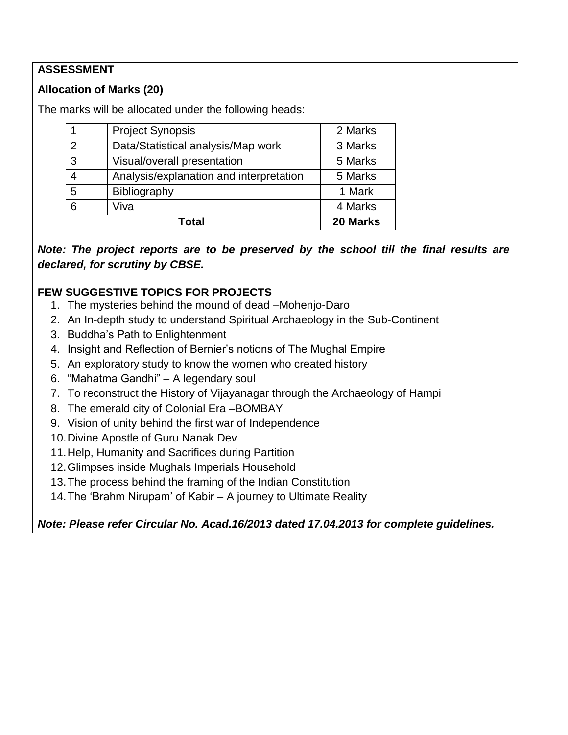## **ASSESSMENT**

# **Allocation of Marks (20)**

The marks will be allocated under the following heads:

| Total                                   |                                    | 20 Marks |
|-----------------------------------------|------------------------------------|----------|
| 6                                       | Viva                               | 4 Marks  |
| 5                                       | Bibliography                       | 1 Mark   |
| Analysis/explanation and interpretation |                                    | 5 Marks  |
| 3                                       | Visual/overall presentation        | 5 Marks  |
| $\mathcal{P}$                           | Data/Statistical analysis/Map work |          |
|                                         | <b>Project Synopsis</b>            | 2 Marks  |

*Note: The project reports are to be preserved by the school till the final results are declared, for scrutiny by CBSE.*

# **FEW SUGGESTIVE TOPICS FOR PROJECTS**

- 1. The mysteries behind the mound of dead –Mohenjo-Daro
- 2. An In-depth study to understand Spiritual Archaeology in the Sub-Continent
- 3. Buddha's Path to Enlightenment
- 4. Insight and Reflection of Bernier's notions of The Mughal Empire
- 5. An exploratory study to know the women who created history
- 6. "Mahatma Gandhi" A legendary soul
- 7. To reconstruct the History of Vijayanagar through the Archaeology of Hampi
- 8. The emerald city of Colonial Era –BOMBAY
- 9. Vision of unity behind the first war of Independence
- 10.Divine Apostle of Guru Nanak Dev
- 11.Help, Humanity and Sacrifices during Partition
- 12.Glimpses inside Mughals Imperials Household
- 13.The process behind the framing of the Indian Constitution
- 14.The 'Brahm Nirupam' of Kabir A journey to Ultimate Reality

*Note: Please refer Circular No. Acad.16/2013 dated 17.04.2013 for complete guidelines.*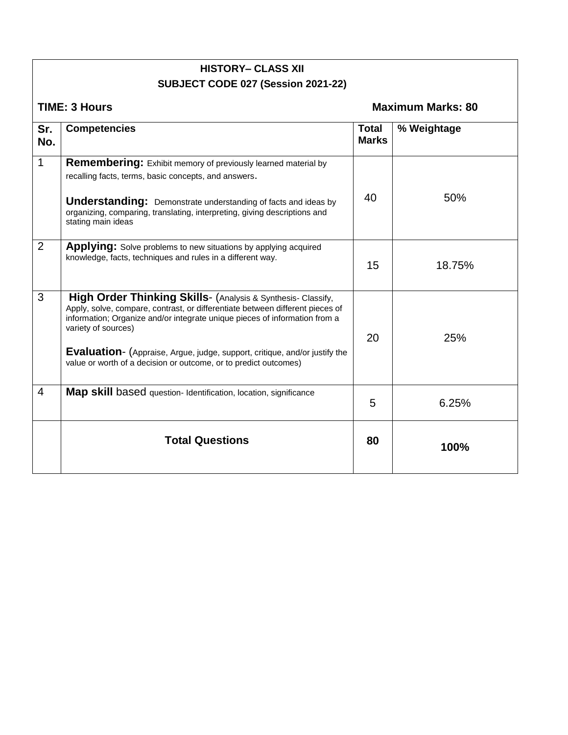|              | <b>HISTORY- CLASS XII</b>                                                                                                                                                                                                                                                                                                                                                                                   |                              |                          |  |  |
|--------------|-------------------------------------------------------------------------------------------------------------------------------------------------------------------------------------------------------------------------------------------------------------------------------------------------------------------------------------------------------------------------------------------------------------|------------------------------|--------------------------|--|--|
|              | SUBJECT CODE 027 (Session 2021-22)                                                                                                                                                                                                                                                                                                                                                                          |                              |                          |  |  |
|              | <b>TIME: 3 Hours</b>                                                                                                                                                                                                                                                                                                                                                                                        |                              | <b>Maximum Marks: 80</b> |  |  |
| Sr.<br>No.   | <b>Competencies</b>                                                                                                                                                                                                                                                                                                                                                                                         | <b>Total</b><br><b>Marks</b> | % Weightage              |  |  |
| $\mathbf{1}$ | <b>Remembering:</b> Exhibit memory of previously learned material by<br>recalling facts, terms, basic concepts, and answers.<br><b>Understanding:</b> Demonstrate understanding of facts and ideas by<br>organizing, comparing, translating, interpreting, giving descriptions and<br>stating main ideas                                                                                                    | 40                           | 50%                      |  |  |
| 2            | <b>Applying:</b> Solve problems to new situations by applying acquired<br>knowledge, facts, techniques and rules in a different way.                                                                                                                                                                                                                                                                        | 15                           | 18.75%                   |  |  |
| 3            | High Order Thinking Skills- (Analysis & Synthesis- Classify,<br>Apply, solve, compare, contrast, or differentiate between different pieces of<br>information; Organize and/or integrate unique pieces of information from a<br>variety of sources)<br><b>Evaluation-</b> (Appraise, Argue, judge, support, critique, and/or justify the<br>value or worth of a decision or outcome, or to predict outcomes) | 20                           | 25%                      |  |  |
| 4            | Map skill based question- Identification, location, significance                                                                                                                                                                                                                                                                                                                                            | 5                            | 6.25%                    |  |  |
|              | <b>Total Questions</b>                                                                                                                                                                                                                                                                                                                                                                                      | 80                           | 100%                     |  |  |